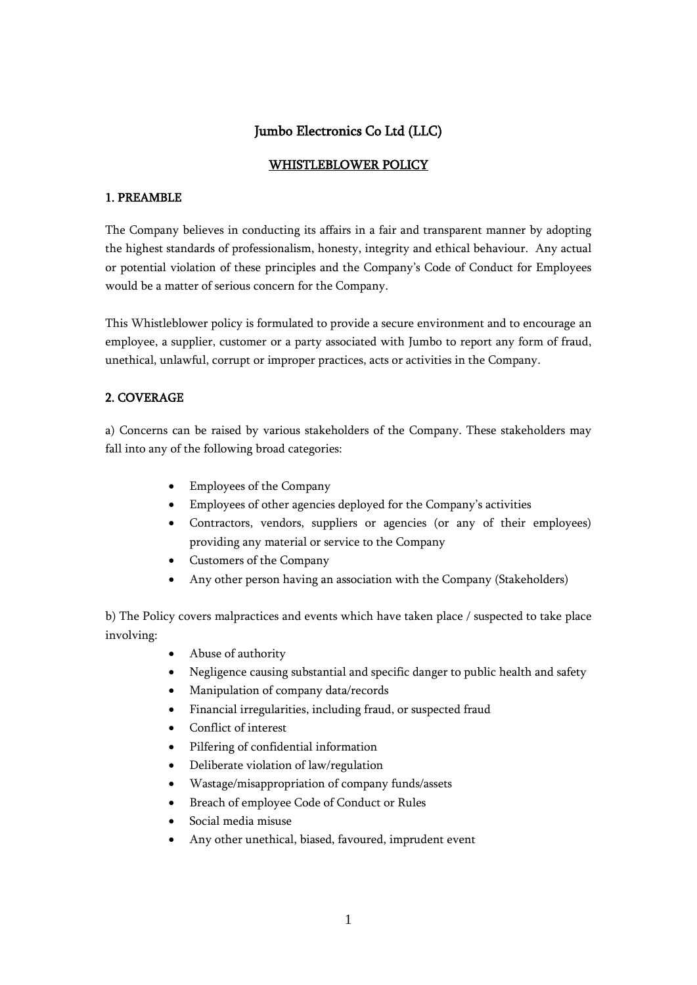# Jumbo Electronics Co Ltd (LLC)

# WHISTLEBLOWER POLICY

# 1. PREAMBLE

The Company believes in conducting its affairs in a fair and transparent manner by adopting the highest standards of professionalism, honesty, integrity and ethical behaviour. Any actual or potential violation of these principles and the Company's Code of Conduct for Employees would be a matter of serious concern for the Company.

This Whistleblower policy is formulated to provide a secure environment and to encourage an employee, a supplier, customer or a party associated with Jumbo to report any form of fraud, unethical, unlawful, corrupt or improper practices, acts or activities in the Company.

# 2. COVERAGE

a) Concerns can be raised by various stakeholders of the Company. These stakeholders may fall into any of the following broad categories:

- Employees of the Company
- Employees of other agencies deployed for the Company's activities
- Contractors, vendors, suppliers or agencies (or any of their employees) providing any material or service to the Company
- Customers of the Company
- Any other person having an association with the Company (Stakeholders)

b) The Policy covers malpractices and events which have taken place / suspected to take place involving:

- Abuse of authority
- Negligence causing substantial and specific danger to public health and safety
- Manipulation of company data/records
- Financial irregularities, including fraud, or suspected fraud
- Conflict of interest
- Pilfering of confidential information
- Deliberate violation of law/regulation
- Wastage/misappropriation of company funds/assets
- Breach of employee Code of Conduct or Rules
- Social media misuse
- Any other unethical, biased, favoured, imprudent event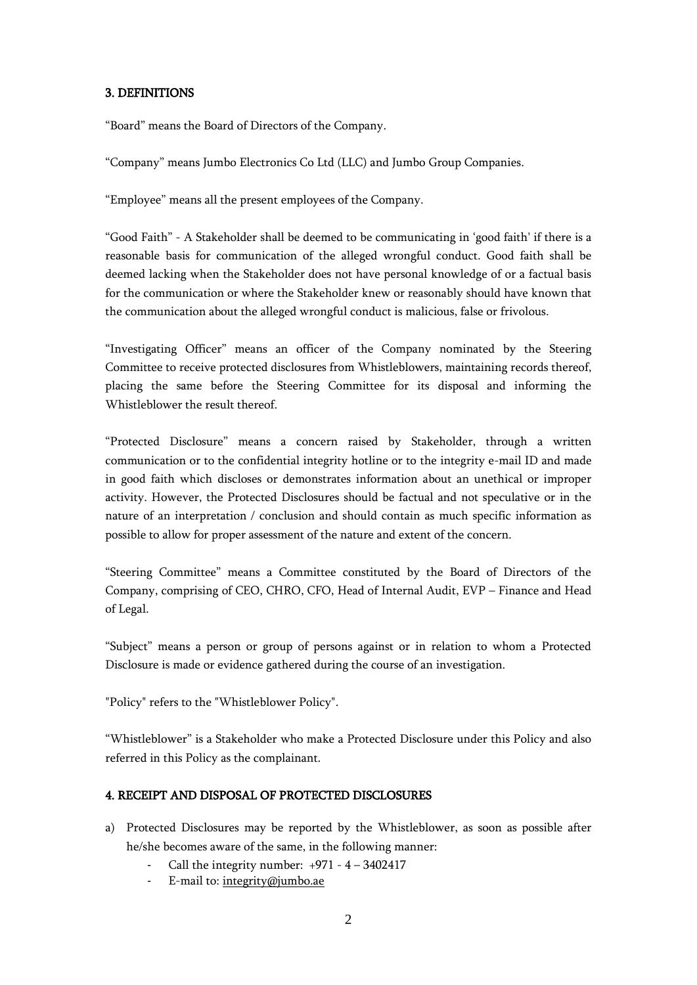#### 3. DEFINITIONS

"Board" means the Board of Directors of the Company.

"Company" means Jumbo Electronics Co Ltd (LLC) and Jumbo Group Companies.

"Employee" means all the present employees of the Company.

"Good Faith" - A Stakeholder shall be deemed to be communicating in 'good faith' if there is a reasonable basis for communication of the alleged wrongful conduct. Good faith shall be deemed lacking when the Stakeholder does not have personal knowledge of or a factual basis for the communication or where the Stakeholder knew or reasonably should have known that the communication about the alleged wrongful conduct is malicious, false or frivolous.

"Investigating Officer" means an officer of the Company nominated by the Steering Committee to receive protected disclosures from Whistleblowers, maintaining records thereof, placing the same before the Steering Committee for its disposal and informing the Whistleblower the result thereof.

"Protected Disclosure" means a concern raised by Stakeholder, through a written communication or to the confidential integrity hotline or to the integrity e-mail ID and made in good faith which discloses or demonstrates information about an unethical or improper activity. However, the Protected Disclosures should be factual and not speculative or in the nature of an interpretation / conclusion and should contain as much specific information as possible to allow for proper assessment of the nature and extent of the concern.

"Steering Committee" means a Committee constituted by the Board of Directors of the Company, comprising of CEO, CHRO, CFO, Head of Internal Audit, EVP – Finance and Head of Legal.

"Subject" means a person or group of persons against or in relation to whom a Protected Disclosure is made or evidence gathered during the course of an investigation.

"Policy" refers to the "Whistleblower Policy".

"Whistleblower" is a Stakeholder who make a Protected Disclosure under this Policy and also referred in this Policy as the complainant.

# 4. RECEIPT AND DISPOSAL OF PROTECTED DISCLOSURES

- a) Protected Disclosures may be reported by the Whistleblower, as soon as possible after he/she becomes aware of the same, in the following manner:
	- Call the integrity number:  $+971 4 3402417$
	- E-mail to: [integrity@jumbo.ae](mailto:integrity@jumbo.ae)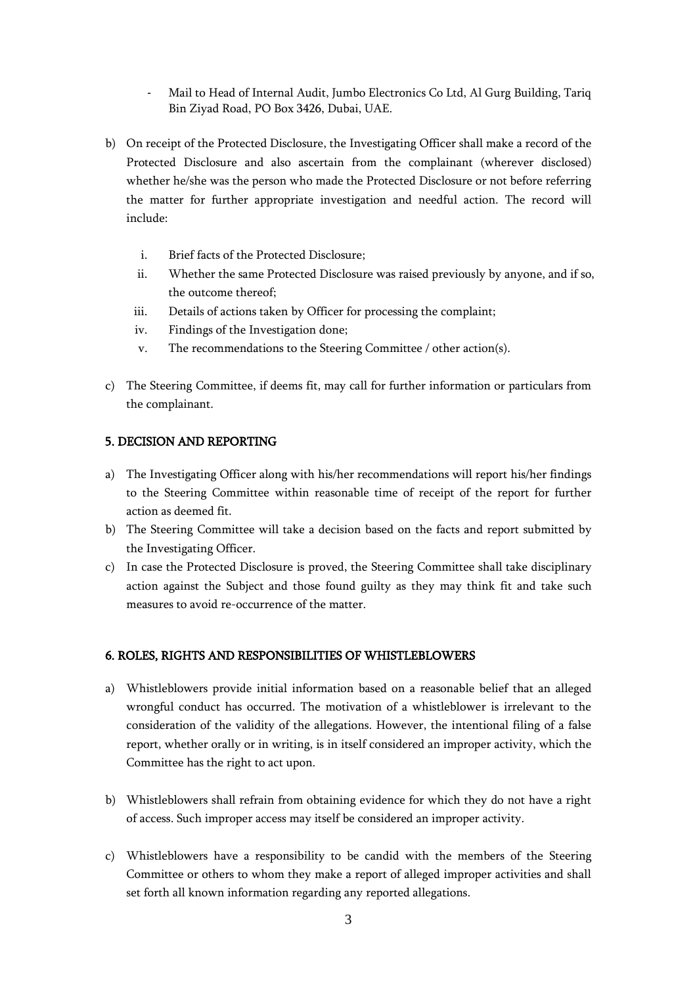- Mail to Head of Internal Audit, Jumbo Electronics Co Ltd, Al Gurg Building, Tariq Bin Ziyad Road, PO Box 3426, Dubai, UAE.
- b) On receipt of the Protected Disclosure, the Investigating Officer shall make a record of the Protected Disclosure and also ascertain from the complainant (wherever disclosed) whether he/she was the person who made the Protected Disclosure or not before referring the matter for further appropriate investigation and needful action. The record will include:
	- i. Brief facts of the Protected Disclosure;
	- ii. Whether the same Protected Disclosure was raised previously by anyone, and if so, the outcome thereof;
	- iii. Details of actions taken by Officer for processing the complaint;
	- iv. Findings of the Investigation done;
	- v. The recommendations to the Steering Committee / other action(s).
- c) The Steering Committee, if deems fit, may call for further information or particulars from the complainant.

#### 5. DECISION AND REPORTING

- a) The Investigating Officer along with his/her recommendations will report his/her findings to the Steering Committee within reasonable time of receipt of the report for further action as deemed fit.
- b) The Steering Committee will take a decision based on the facts and report submitted by the Investigating Officer.
- c) In case the Protected Disclosure is proved, the Steering Committee shall take disciplinary action against the Subject and those found guilty as they may think fit and take such measures to avoid re-occurrence of the matter.

#### 6. ROLES, RIGHTS AND RESPONSIBILITIES OF WHISTLEBLOWERS

- a) Whistleblowers provide initial information based on a reasonable belief that an alleged wrongful conduct has occurred. The motivation of a whistleblower is irrelevant to the consideration of the validity of the allegations. However, the intentional filing of a false report, whether orally or in writing, is in itself considered an improper activity, which the Committee has the right to act upon.
- b) Whistleblowers shall refrain from obtaining evidence for which they do not have a right of access. Such improper access may itself be considered an improper activity.
- c) Whistleblowers have a responsibility to be candid with the members of the Steering Committee or others to whom they make a report of alleged improper activities and shall set forth all known information regarding any reported allegations.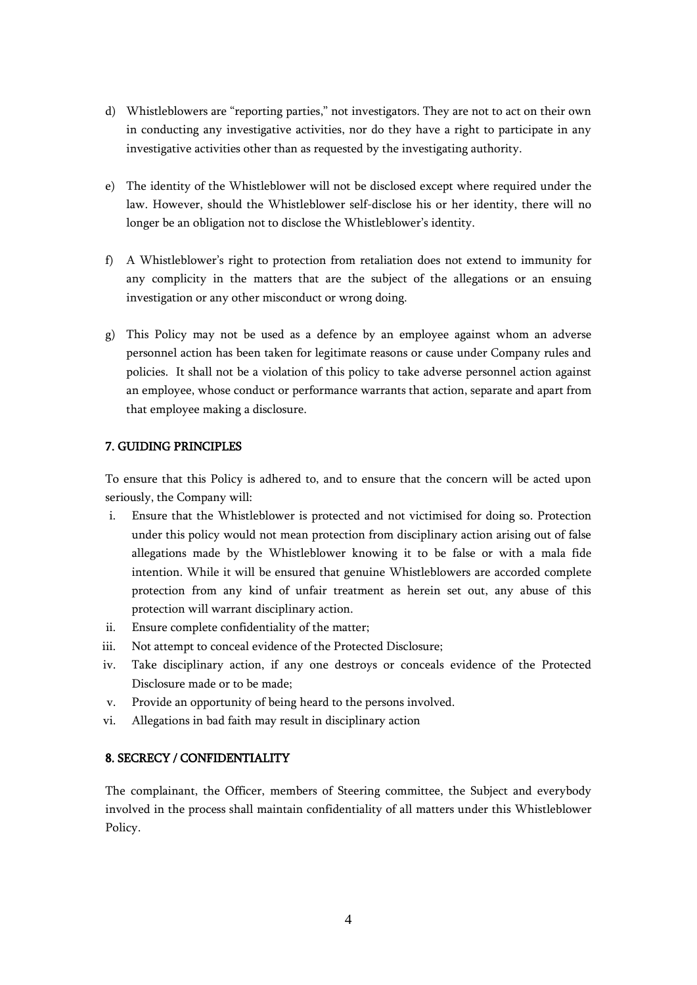- d) Whistleblowers are "reporting parties," not investigators. They are not to act on their own in conducting any investigative activities, nor do they have a right to participate in any investigative activities other than as requested by the investigating authority.
- e) The identity of the Whistleblower will not be disclosed except where required under the law. However, should the Whistleblower self-disclose his or her identity, there will no longer be an obligation not to disclose the Whistleblower's identity.
- f) A Whistleblower's right to protection from retaliation does not extend to immunity for any complicity in the matters that are the subject of the allegations or an ensuing investigation or any other misconduct or wrong doing.
- g) This Policy may not be used as a defence by an employee against whom an adverse personnel action has been taken for legitimate reasons or cause under Company rules and policies. It shall not be a violation of this policy to take adverse personnel action against an employee, whose conduct or performance warrants that action, separate and apart from that employee making a disclosure.

#### 7. GUIDING PRINCIPLES

To ensure that this Policy is adhered to, and to ensure that the concern will be acted upon seriously, the Company will:

- i. Ensure that the Whistleblower is protected and not victimised for doing so. Protection under this policy would not mean protection from disciplinary action arising out of false allegations made by the Whistleblower knowing it to be false or with a mala fide intention. While it will be ensured that genuine Whistleblowers are accorded complete protection from any kind of unfair treatment as herein set out, any abuse of this protection will warrant disciplinary action.
- ii. Ensure complete confidentiality of the matter;
- iii. Not attempt to conceal evidence of the Protected Disclosure;
- iv. Take disciplinary action, if any one destroys or conceals evidence of the Protected Disclosure made or to be made;
- v. Provide an opportunity of being heard to the persons involved.
- vi. Allegations in bad faith may result in disciplinary action

#### 8. SECRECY / CONFIDENTIALITY

The complainant, the Officer, members of Steering committee, the Subject and everybody involved in the process shall maintain confidentiality of all matters under this Whistleblower Policy.